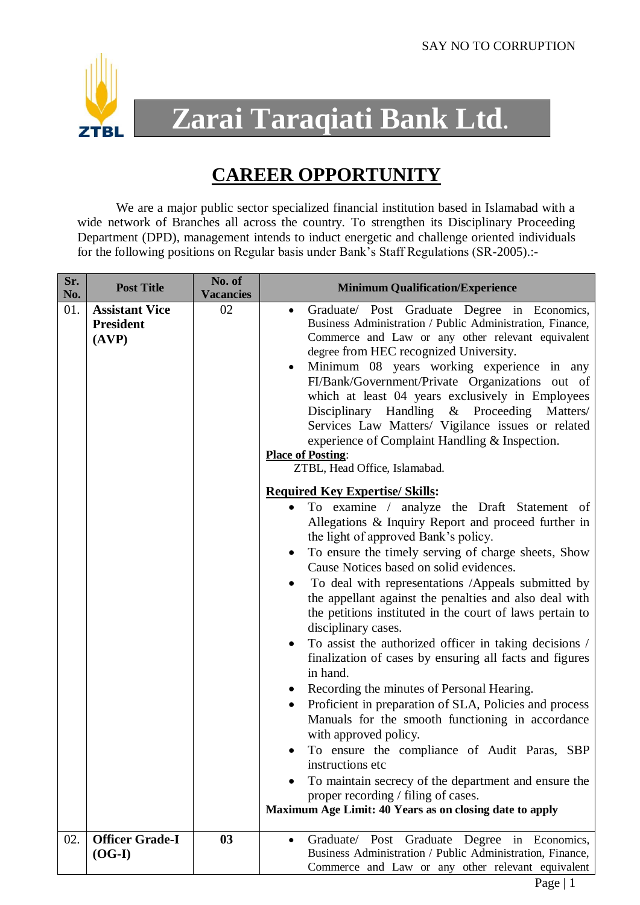

## **Zarai Taraqiati Bank Ltd.**

## **CAREER OPPORTUNITY**

We are a major public sector specialized financial institution based in Islamabad with a wide network of Branches all across the country. To strengthen its Disciplinary Proceeding Department (DPD), management intends to induct energetic and challenge oriented individuals for the following positions on Regular basis under Bank's Staff Regulations (SR-2005).:-

| Sr.<br>No. | <b>Post Title</b>                                  | No. of<br><b>Vacancies</b> | <b>Minimum Qualification/Experience</b>                                                                                                                                                                                                                                                                                                                                                                                                                                                                                                                                                                                                                                                                                                                                                                                                                                                                                                                                                                                                                                                                |
|------------|----------------------------------------------------|----------------------------|--------------------------------------------------------------------------------------------------------------------------------------------------------------------------------------------------------------------------------------------------------------------------------------------------------------------------------------------------------------------------------------------------------------------------------------------------------------------------------------------------------------------------------------------------------------------------------------------------------------------------------------------------------------------------------------------------------------------------------------------------------------------------------------------------------------------------------------------------------------------------------------------------------------------------------------------------------------------------------------------------------------------------------------------------------------------------------------------------------|
| 01.        | <b>Assistant Vice</b><br><b>President</b><br>(AVP) | 02                         | Graduate/ Post Graduate Degree in Economics,<br>$\bullet$<br>Business Administration / Public Administration, Finance,<br>Commerce and Law or any other relevant equivalent<br>degree from HEC recognized University.<br>Minimum 08 years working experience in any<br>٠<br>FI/Bank/Government/Private Organizations out of<br>which at least 04 years exclusively in Employees<br>Disciplinary Handling & Proceeding Matters/<br>Services Law Matters/ Vigilance issues or related<br>experience of Complaint Handling & Inspection.<br><b>Place of Posting:</b><br>ZTBL, Head Office, Islamabad.                                                                                                                                                                                                                                                                                                                                                                                                                                                                                                     |
|            |                                                    |                            | <b>Required Key Expertise/ Skills:</b><br>To examine / analyze the Draft Statement of<br>$\bullet$<br>Allegations & Inquiry Report and proceed further in<br>the light of approved Bank's policy.<br>To ensure the timely serving of charge sheets, Show<br>٠<br>Cause Notices based on solid evidences.<br>To deal with representations /Appeals submitted by<br>$\bullet$<br>the appellant against the penalties and also deal with<br>the petitions instituted in the court of laws pertain to<br>disciplinary cases.<br>To assist the authorized officer in taking decisions /<br>$\bullet$<br>finalization of cases by ensuring all facts and figures<br>in hand.<br>Recording the minutes of Personal Hearing.<br>Proficient in preparation of SLA, Policies and process<br>$\bullet$<br>Manuals for the smooth functioning in accordance<br>with approved policy.<br>To ensure the compliance of Audit Paras, SBP<br>instructions etc<br>To maintain secrecy of the department and ensure the<br>proper recording / filing of cases.<br>Maximum Age Limit: 40 Years as on closing date to apply |
| 02.        | <b>Officer Grade-I</b><br>$(OG-I)$                 | 03                         | Graduate/<br>Post<br>Graduate Degree in Economics,<br>$\bullet$<br>Business Administration / Public Administration, Finance,<br>Commerce and Law or any other relevant equivalent                                                                                                                                                                                                                                                                                                                                                                                                                                                                                                                                                                                                                                                                                                                                                                                                                                                                                                                      |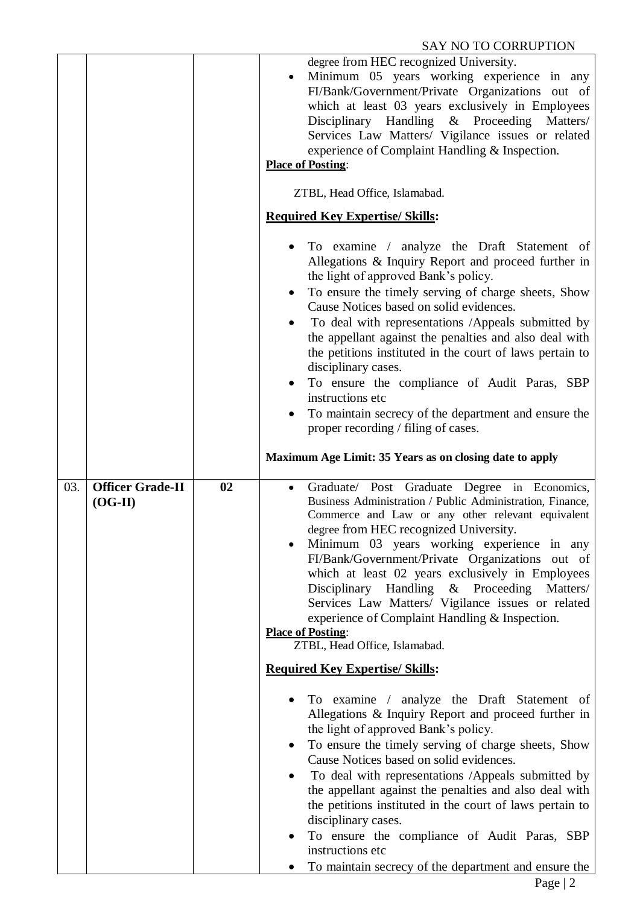|     |                                      |    | degree from HEC recognized University.<br>Minimum 05 years working experience in any<br>$\bullet$<br>FI/Bank/Government/Private Organizations out of<br>which at least 03 years exclusively in Employees<br>Disciplinary Handling & Proceeding Matters/<br>Services Law Matters/ Vigilance issues or related<br>experience of Complaint Handling & Inspection.<br><b>Place of Posting:</b><br>ZTBL, Head Office, Islamabad.<br><b>Required Key Expertise/ Skills:</b>                                                                                                                                                                                                                                                |
|-----|--------------------------------------|----|----------------------------------------------------------------------------------------------------------------------------------------------------------------------------------------------------------------------------------------------------------------------------------------------------------------------------------------------------------------------------------------------------------------------------------------------------------------------------------------------------------------------------------------------------------------------------------------------------------------------------------------------------------------------------------------------------------------------|
|     |                                      |    | To examine / analyze the Draft Statement of<br>Allegations & Inquiry Report and proceed further in<br>the light of approved Bank's policy.<br>To ensure the timely serving of charge sheets, Show<br>$\bullet$<br>Cause Notices based on solid evidences.<br>To deal with representations /Appeals submitted by<br>$\bullet$<br>the appellant against the penalties and also deal with<br>the petitions instituted in the court of laws pertain to<br>disciplinary cases.<br>To ensure the compliance of Audit Paras, SBP<br>$\bullet$<br>instructions etc<br>To maintain secrecy of the department and ensure the<br>proper recording / filing of cases.<br>Maximum Age Limit: 35 Years as on closing date to apply |
| 03. | <b>Officer Grade-II</b><br>$(OG-II)$ | 02 | Graduate/ Post Graduate Degree in Economics,<br>$\bullet$<br>Business Administration / Public Administration, Finance,<br>Commerce and Law or any other relevant equivalent<br>degree from HEC recognized University.<br>Minimum 03 years working experience in any<br>FI/Bank/Government/Private Organizations out of<br>which at least 02 years exclusively in Employees<br>Disciplinary Handling & Proceeding Matters/<br>Services Law Matters/ Vigilance issues or related<br>experience of Complaint Handling & Inspection.<br><b>Place of Posting:</b><br>ZTBL, Head Office, Islamabad.<br><b>Required Key Expertise/ Skills:</b>                                                                              |
|     |                                      |    | To examine / analyze the Draft Statement of<br>Allegations & Inquiry Report and proceed further in<br>the light of approved Bank's policy.<br>To ensure the timely serving of charge sheets, Show<br>$\bullet$<br>Cause Notices based on solid evidences.<br>To deal with representations /Appeals submitted by<br>the appellant against the penalties and also deal with<br>the petitions instituted in the court of laws pertain to                                                                                                                                                                                                                                                                                |
|     |                                      |    | disciplinary cases.<br>To ensure the compliance of Audit Paras, SBP<br>٠<br>instructions etc<br>To maintain secrecy of the department and ensure the                                                                                                                                                                                                                                                                                                                                                                                                                                                                                                                                                                 |